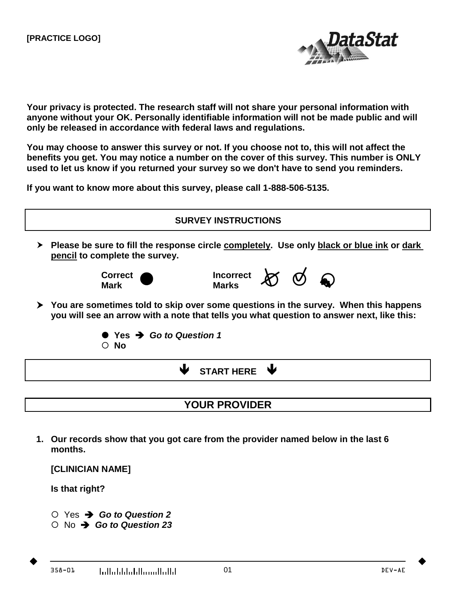

**Your privacy is protected. The research staff will not share your personal information with anyone without your OK. Personally identifiable information will not be made public and will only be released in accordance with federal laws and regulations.**

**You may choose to answer this survey or not. If you choose not to, this will not affect the benefits you get. You may notice a number on the cover of this survey. This number is ONLY used to let us know if you returned your survey so we don't have to send you reminders.**

**If you want to know more about this survey, please call 1-888-506-5135.**



- **YOUR PROVIDER**
- **1. Our records show that you got care from the provider named below in the last 6 months.**

**[CLINICIAN NAME]**

**Is that right?**

 Yes  *Go to Question 2*  No  *Go to Question 23*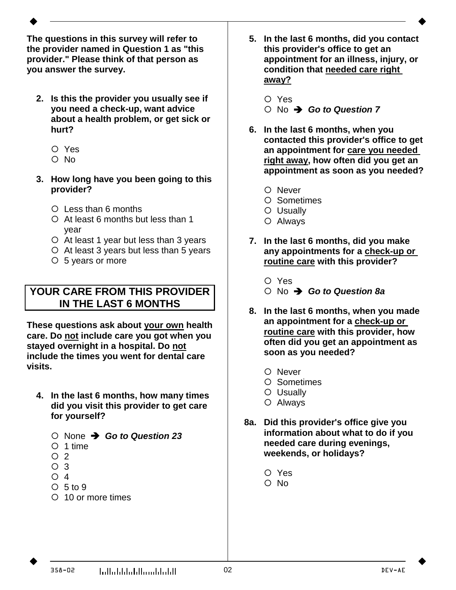**The questions in this survey will refer to the provider named in Question 1 as "this provider." Please think of that person as you answer the survey.**

- **2. Is this the provider you usually see if you need a check-up, want advice about a health problem, or get sick or hurt?**
	- Yes
	- O No
- **3. How long have you been going to this provider?**
	- Less than 6 months
	- At least 6 months but less than 1 year
	- At least 1 year but less than 3 years
	- $O$  At least 3 years but less than 5 years
	- 5 years or more

### **YOUR CARE FROM THIS PROVIDER IN THE LAST 6 MONTHS**

**These questions ask about your own health care. Do not include care you got when you stayed overnight in a hospital. Do not include the times you went for dental care visits.**

- **4. In the last 6 months, how many times did you visit this provider to get care for yourself?**
	- None → Go to Question 23
	- $O$  1 time
	- $O<sub>2</sub>$
	- O 3
	- $\bigcirc$  4
	- $O<sub>5</sub>$  to 9
	- 10 or more times
- **5. In the last 6 months, did you contact this provider's office to get an appointment for an illness, injury, or condition that needed care right away?**
	- Yes
	- No  *Go to Question 7*
- **6. In the last 6 months, when you contacted this provider's office to get an appointment for care you needed right away, how often did you get an appointment as soon as you needed?**
	- O Never
	- O Sometimes
	- Usually
	- Always
- **7. In the last 6 months, did you make any appointments for a check-up or routine care with this provider?**
	- Yes
	- No  *Go to Question 8a*
- **8. In the last 6 months, when you made an appointment for a check-up or routine care with this provider, how often did you get an appointment as soon as you needed?**
	- O Never
	- O Sometimes
	- Usually
	- Always
- **8a. Did this provider's office give you information about what to do if you needed care during evenings, weekends, or holidays?**
	- Yes
	- O No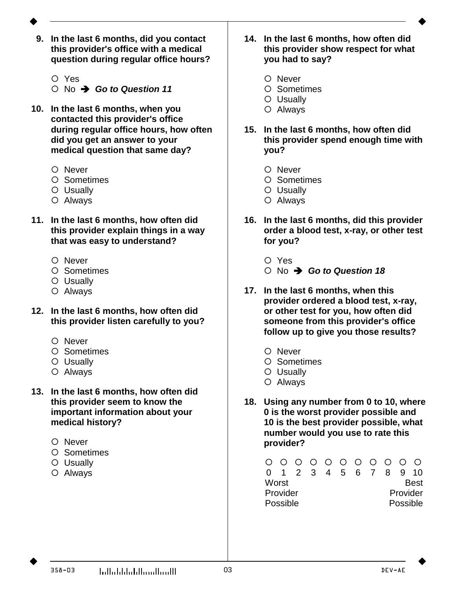- **9. In the last 6 months, did you contact this provider's office with a medical question during regular office hours?**
	- Yes
	- No  *Go to Question 11*
- **10. In the last 6 months, when you contacted this provider's office during regular office hours, how often did you get an answer to your medical question that same day?**
	- O Never
	- O Sometimes
	- Usually
	- Always
- **11. In the last 6 months, how often did this provider explain things in a way that was easy to understand?**
	- O Never
	- O Sometimes
	- Usually
	- Always
- **12. In the last 6 months, how often did this provider listen carefully to you?**
	- O Never
	- O Sometimes
	- Usually
	- Always
- **13. In the last 6 months, how often did this provider seem to know the important information about your medical history?**
	- O Never
	- Sometimes
	- O Usually
	- Always
- **14. In the last 6 months, how often did this provider show respect for what you had to say?**
	- O Never
	- O Sometimes
	- Usually
	- Always
- **15. In the last 6 months, how often did this provider spend enough time with you?**
	- O Never
	- O Sometimes
	- Usually
	- Always
- **16. In the last 6 months, did this provider order a blood test, x-ray, or other test for you?**
	- Yes
	- No  *Go to Question 18*
- **17. In the last 6 months, when this provider ordered a blood test, x-ray, or other test for you, how often did someone from this provider's office follow up to give you those results?**
	- O Never
	- O Sometimes
	- Usually
	- Always
- **18. Using any number from 0 to 10, where 0 is the worst provider possible and 10 is the best provider possible, what number would you use to rate this provider?**

|          |  |  |  |  | 0 0 0 0 0 0 0 0 0 0    |  |  |          |  |             |
|----------|--|--|--|--|------------------------|--|--|----------|--|-------------|
|          |  |  |  |  | 0 1 2 3 4 5 6 7 8 9 10 |  |  |          |  |             |
| Worst    |  |  |  |  |                        |  |  |          |  | <b>Best</b> |
| Provider |  |  |  |  |                        |  |  | Provider |  |             |
| Possible |  |  |  |  |                        |  |  | Possible |  |             |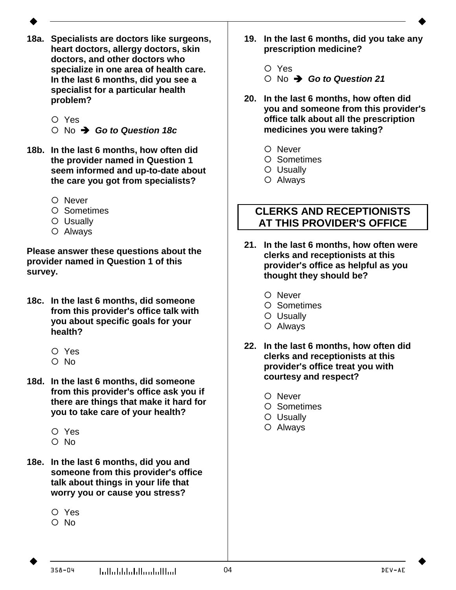- 
- **18a. Specialists are doctors like surgeons, heart doctors, allergy doctors, skin doctors, and other doctors who specialize in one area of health care. In the last 6 months, did you see a specialist for a particular health problem?**
	- Yes
	- No  *Go to Question 18c*
- **18b. In the last 6 months, how often did the provider named in Question 1 seem informed and up-to-date about the care you got from specialists?**
	- O Never
	- Sometimes
	- Usually
	- Always

**Please answer these questions about the provider named in Question 1 of this survey.**

- **18c. In the last 6 months, did someone from this provider's office talk with you about specific goals for your health?**
	- Yes
	- O No
- **18d. In the last 6 months, did someone from this provider's office ask you if there are things that make it hard for you to take care of your health?**
	- Yes
	- O No
- **18e. In the last 6 months, did you and someone from this provider's office talk about things in your life that worry you or cause you stress?**
	- Yes
	- O No
- **19. In the last 6 months, did you take any prescription medicine?**
	- Yes
	- No  *Go to Question 21*
- **20. In the last 6 months, how often did you and someone from this provider's office talk about all the prescription medicines you were taking?**
	- O Never
	- O Sometimes
	- Usually
	- Always

## **CLERKS AND RECEPTIONISTS AT THIS PROVIDER'S OFFICE**

- **21. In the last 6 months, how often were clerks and receptionists at this provider's office as helpful as you thought they should be?**
	- O Never
	- O Sometimes
	- Usually
	- Always
- **22. In the last 6 months, how often did clerks and receptionists at this provider's office treat you with courtesy and respect?**
	- O Never
	- O Sometimes
	- Usually
	- Always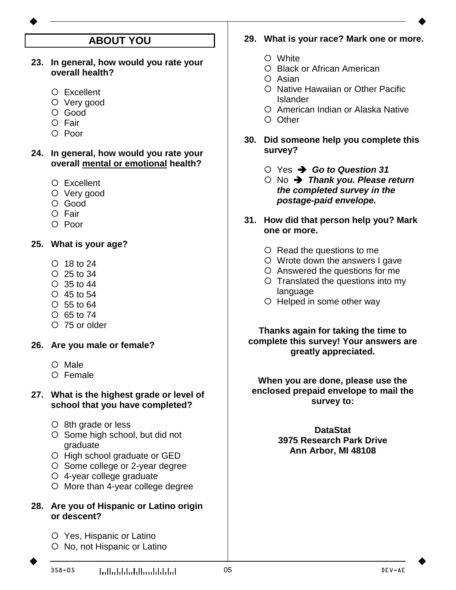# **ABOUT YOU**

- **23. In general, how would you rate your overall health?**
	- Excellent
	- O Very good
	- O Good
	- O Fair
	- O Poor
- **24. In general, how would you rate your overall mental or emotional health?**
	- O Excellent
	- O Very good
	- O Good
	- O Fair
	- O Poor

**25. What is your age?**

- $\bigcirc$  18 to 24
- 25 to 34
- 35 to 44
- 45 to 54
- $O$  55 to 64
- $O$  65 to 74
- 75 or older
- **26. Are you male or female?**
	- $O$  Male
	- Female

### **27. What is the highest grade or level of school that you have completed?**

- $\circ$  8th grade or less
- O Some high school, but did not graduate
- O High school graduate or GED
- O Some college or 2-year degree
- 4-year college graduate
- O More than 4-year college degree

#### **28. Are you of Hispanic or Latino origin or descent?**

- Yes, Hispanic or Latino
- O No, not Hispanic or Latino
- **29. What is your race? Mark one or more.**
	- White
	- O Black or African American
	- Asian
	- O Native Hawaiian or Other Pacific Islander
	- American Indian or Alaska Native
	- O Other
- **30. Did someone help you complete this survey?**
	- Yes → Go to Question 31
	- $\circ$  No **→ Thank you. Please return** *the completed survey in the postage-paid envelope.*
- **31. How did that person help you? Mark one or more.**
	- O Read the questions to me
	- Wrote down the answers I gave
	- Answered the questions for me
	- O Translated the questions into my language
	- O Helped in some other way

**Thanks again for taking the time to complete this survey! Your answers are greatly appreciated.**

**When you are done, please use the enclosed prepaid envelope to mail the survey to:**

> **DataStat 3975 Research Park Drive Ann Arbor, MI 48108**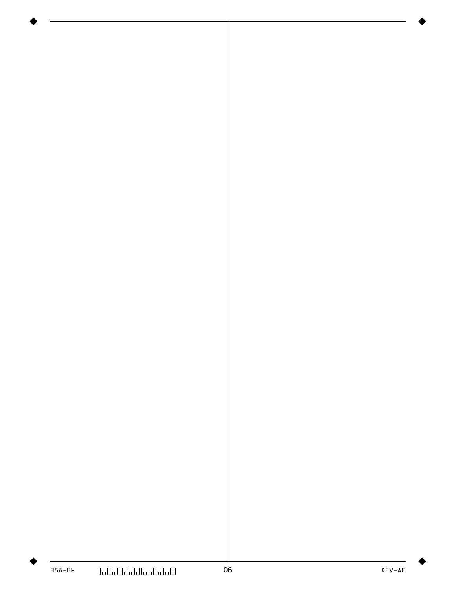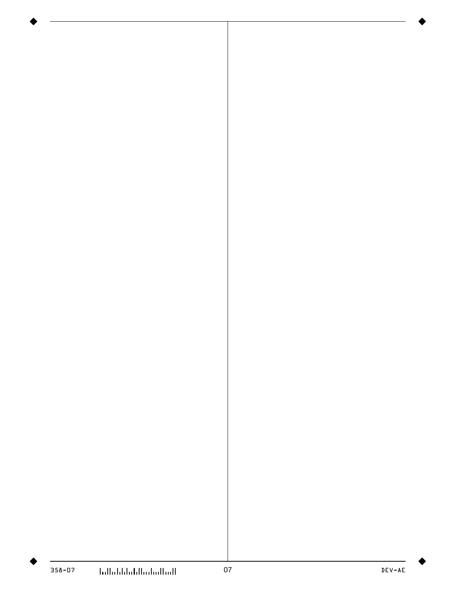